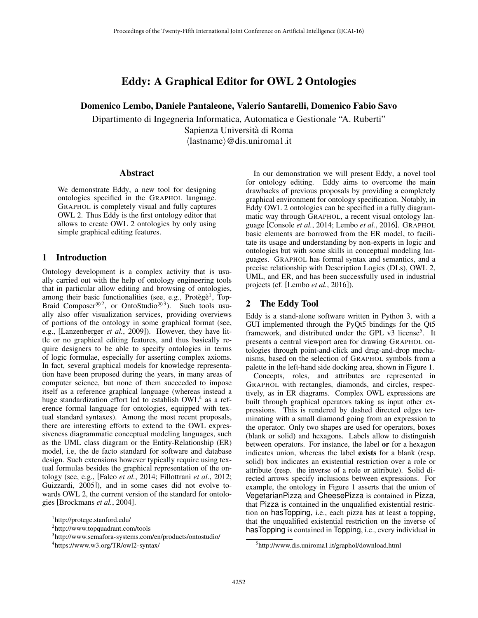# Eddy: A Graphical Editor for OWL 2 Ontologies

Domenico Lembo, Daniele Pantaleone, Valerio Santarelli, Domenico Fabio Savo

Dipartimento di Ingegneria Informatica, Automatica e Gestionale "A. Ruberti" Sapienza Universita di Roma `  $\langle$ lastname $\rangle$ @dis.uniroma1.it

### Abstract

We demonstrate Eddy, a new tool for designing ontologies specified in the GRAPHOL language. GRAPHOL is completely visual and fully captures OWL 2. Thus Eddy is the first ontology editor that allows to create OWL 2 ontologies by only using simple graphical editing features.

## 1 Introduction

Ontology development is a complex activity that is usually carried out with the help of ontology engineering tools that in particular allow editing and browsing of ontologies, among their basic functionalities (see, e.g., Protègè<sup>1</sup>, Top-Braid Composer<sup>®2</sup>, or OntoStudio<sup>®3</sup>). Such tools usually also offer visualization services, providing overviews of portions of the ontology in some graphical format (see, e.g., [Lanzenberger *et al.*, 2009]). However, they have little or no graphical editing features, and thus basically require designers to be able to specify ontologies in terms of logic formulae, especially for asserting complex axioms. In fact, several graphical models for knowledge representation have been proposed during the years, in many areas of computer science, but none of them succeeded to impose itself as a reference graphical language (whereas instead a huge standardization effort led to establish OWL<sup>4</sup> as a reference formal language for ontologies, equipped with textual standard syntaxes). Among the most recent proposals, there are interesting efforts to extend to the OWL expressiveness diagrammatic conceptual modeling languages, such as the UML class diagram or the Entity-Relationship (ER) model, i.e, the de facto standard for software and database design. Such extensions however typically require using textual formulas besides the graphical representation of the ontology (see, e.g., [Falco *et al.*, 2014; Fillottrani *et al.*, 2012; Guizzardi, 2005]), and in some cases did not evolve towards OWL 2, the current version of the standard for ontologies [Brockmans *et al.*, 2004].

In our demonstration we will present Eddy, a novel tool for ontology editing. Eddy aims to overcome the main drawbacks of previous proposals by providing a completely graphical environment for ontology specification. Notably, in Eddy OWL 2 ontologies can be specified in a fully diagrammatic way through GRAPHOL, a recent visual ontology language [Console *et al.*, 2014; Lembo *et al.*, 2016]. GRAPHOL basic elements are borrowed from the ER model, to facilitate its usage and understanding by non-experts in logic and ontologies but with some skills in conceptual modeling languages. GRAPHOL has formal syntax and semantics, and a precise relationship with Description Logics (DLs), OWL 2, UML, and ER, and has been successfully used in industrial projects (cf. [Lembo *et al.*, 2016]).

## 2 The Eddy Tool

Eddy is a stand-alone software written in Python 3, with a GUI implemented through the PyQt5 bindings for the Qt5 framework, and distributed under the GPL v3 license<sup>5</sup>. It presents a central viewport area for drawing GRAPHOL ontologies through point-and-click and drag-and-drop mechanisms, based on the selection of GRAPHOL symbols from a palette in the left-hand side docking area, shown in Figure 1.

Concepts, roles, and attributes are represented in GRAPHOL with rectangles, diamonds, and circles, respectively, as in ER diagrams. Complex OWL expressions are built through graphical operators taking as input other expressions. This is rendered by dashed directed edges terminating with a small diamond going from an expression to the operator. Only two shapes are used for operators, boxes (blank or solid) and hexagons. Labels allow to distinguish between operators. For instance, the label or for a hexagon indicates union, whereas the label exists for a blank (resp. solid) box indicates an existential restriction over a role or attribute (resp. the inverse of a role or attribute). Solid directed arrows specify inclusions between expressions. For example, the ontology in Figure 1 asserts that the union of VegetarianPizza and CheesePizza is contained in Pizza, that Pizza is contained in the unqualified existential restriction on hasTopping, i.e., each pizza has at least a topping, that the unqualified existential restriction on the inverse of has Topping is contained in Topping, i.e., every individual in

<sup>1</sup> http://protege.stanford.edu/

<sup>2</sup> http://www.topquadrant.com/tools

<sup>3</sup> http://www.semafora-systems.com/en/products/ontostudio/

<sup>4</sup> https://www.w3.org/TR/owl2-syntax/

<sup>5</sup> http://www.dis.uniroma1.it/graphol/download.html